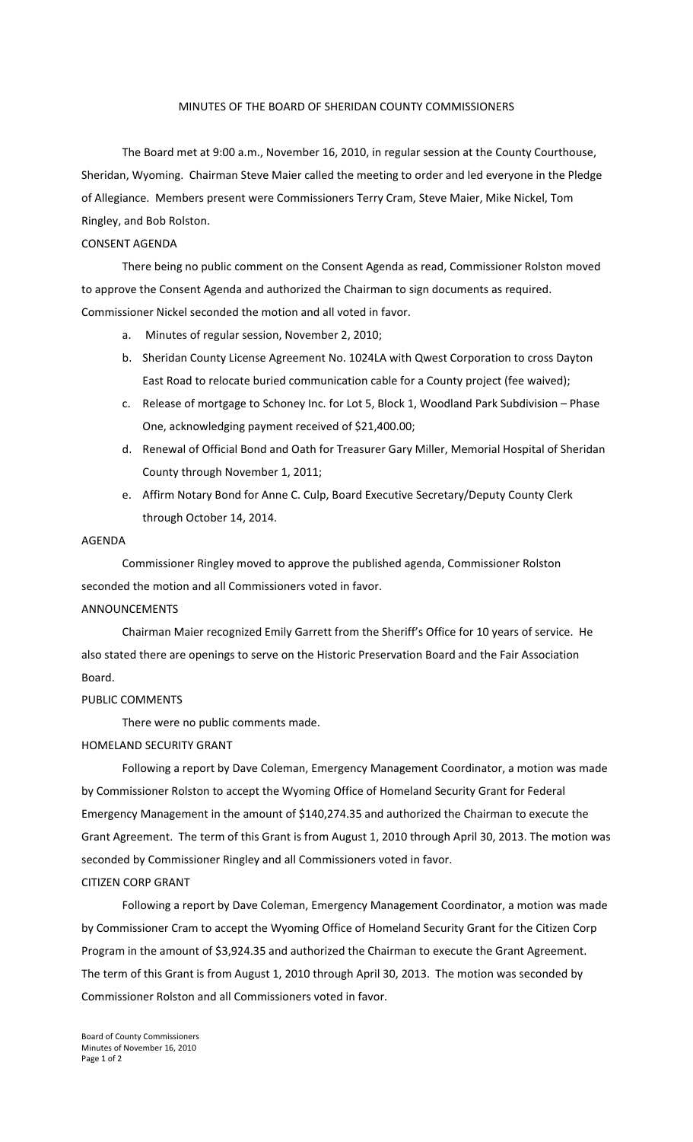## MINUTES OF THE BOARD OF SHERIDAN COUNTY COMMISSIONERS

The Board met at 9:00 a.m., November 16, 2010, in regular session at the County Courthouse, Sheridan, Wyoming. Chairman Steve Maier called the meeting to order and led everyone in the Pledge of Allegiance. Members present were Commissioners Terry Cram, Steve Maier, Mike Nickel, Tom Ringley, and Bob Rolston.

# CONSENT AGENDA

There being no public comment on the Consent Agenda as read, Commissioner Rolston moved to approve the Consent Agenda and authorized the Chairman to sign documents as required. Commissioner Nickel seconded the motion and all voted in favor.

- a. Minutes of regular session, November 2, 2010;
- b. Sheridan County License Agreement No. 1024LA with Qwest Corporation to cross Dayton East Road to relocate buried communication cable for a County project (fee waived);
- c. Release of mortgage to Schoney Inc. for Lot 5, Block 1, Woodland Park Subdivision Phase One, acknowledging payment received of \$21,400.00;
- d. Renewal of Official Bond and Oath for Treasurer Gary Miller, Memorial Hospital of Sheridan County through November 1, 2011;
- e. Affirm Notary Bond for Anne C. Culp, Board Executive Secretary/Deputy County Clerk through October 14, 2014.

#### AGENDA

Commissioner Ringley moved to approve the published agenda, Commissioner Rolston seconded the motion and all Commissioners voted in favor.

#### ANNOUNCEMENTS

Chairman Maier recognized Emily Garrett from the Sheriff's Office for 10 years of service. He also stated there are openings to serve on the Historic Preservation Board and the Fair Association Board.

## PUBLIC COMMENTS

There were no public comments made.

#### HOMELAND SECURITY GRANT

Following a report by Dave Coleman, Emergency Management Coordinator, a motion was made by Commissioner Rolston to accept the Wyoming Office of Homeland Security Grant for Federal Emergency Management in the amount of \$140,274.35 and authorized the Chairman to execute the Grant Agreement. The term of this Grant is from August 1, 2010 through April 30, 2013. The motion was seconded by Commissioner Ringley and all Commissioners voted in favor.

## CITIZEN CORP GRANT

Following a report by Dave Coleman, Emergency Management Coordinator, a motion was made by Commissioner Cram to accept the Wyoming Office of Homeland Security Grant for the Citizen Corp Program in the amount of \$3,924.35 and authorized the Chairman to execute the Grant Agreement. The term of this Grant is from August 1, 2010 through April 30, 2013. The motion was seconded by Commissioner Rolston and all Commissioners voted in favor.